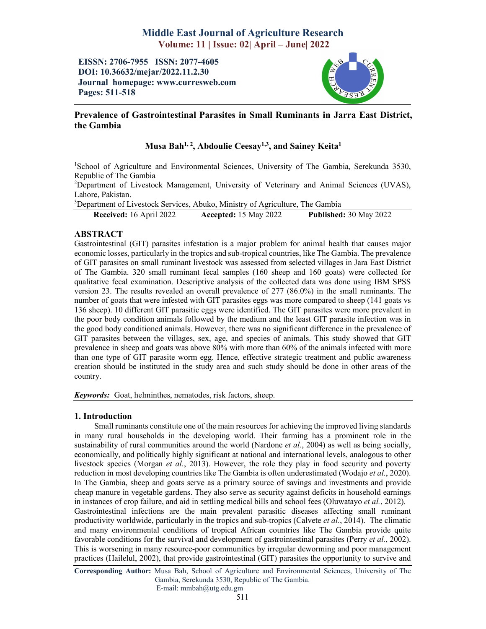# Middle East Journal of Agriculture Research Volume: 11 | Issue: 02| April – June| 2022

EISSN: 2706-7955 ISSN: 2077-4605 DOI: 10.36632/mejar/2022.11.2.30 Journal homepage: www.curresweb.com Pages: 511-518



# Prevalence of Gastrointestinal Parasites in Small Ruminants in Jarra East District, the Gambia

# Musa Bah<sup>1, 2</sup>, Abdoulie Ceesay<sup>1,3</sup>, and Sainey Keita<sup>1</sup>

<sup>1</sup>School of Agriculture and Environmental Sciences, University of The Gambia, Serekunda 3530, Republic of The Gambia

<sup>2</sup>Department of Livestock Management, University of Veterinary and Animal Sciences (UVAS), Lahore, Pakistan.

<sup>3</sup>Department of Livestock Services, Abuko, Ministry of Agriculture, The Gambia

Received: 16 April 2022 Accepted: 15 May 2022 Published: 30 May 2022

# ABSTRACT

Gastrointestinal (GIT) parasites infestation is a major problem for animal health that causes major economic losses, particularly in the tropics and sub-tropical countries, like The Gambia. The prevalence of GIT parasites on small ruminant livestock was assessed from selected villages in Jara East District of The Gambia. 320 small ruminant fecal samples (160 sheep and 160 goats) were collected for qualitative fecal examination. Descriptive analysis of the collected data was done using IBM SPSS version 23. The results revealed an overall prevalence of 277 (86.0%) in the small ruminants. The number of goats that were infested with GIT parasites eggs was more compared to sheep (141 goats vs 136 sheep). 10 different GIT parasitic eggs were identified. The GIT parasites were more prevalent in the poor body condition animals followed by the medium and the least GIT parasite infection was in the good body conditioned animals. However, there was no significant difference in the prevalence of GIT parasites between the villages, sex, age, and species of animals. This study showed that GIT prevalence in sheep and goats was above 80% with more than 60% of the animals infected with more than one type of GIT parasite worm egg. Hence, effective strategic treatment and public awareness creation should be instituted in the study area and such study should be done in other areas of the country.

*Keywords:* Goat, helminthes, nematodes, risk factors, sheep.

# 1. Introduction

Small ruminants constitute one of the main resources for achieving the improved living standards in many rural households in the developing world. Their farming has a prominent role in the sustainability of rural communities around the world (Nardone *et al.*, 2004) as well as being socially, economically, and politically highly significant at national and international levels, analogous to other livestock species (Morgan *et al.*, 2013). However, the role they play in food security and poverty reduction in most developing countries like The Gambia is often underestimated (Wodajo *et al.*, 2020). In The Gambia, sheep and goats serve as a primary source of savings and investments and provide cheap manure in vegetable gardens. They also serve as security against deficits in household earnings in instances of crop failure, and aid in settling medical bills and school fees (Oluwatayo *et al.*, 2012). Gastrointestinal infections are the main prevalent parasitic diseases affecting small ruminant productivity worldwide, particularly in the tropics and sub-tropics (Calvete *et al.*, 2014). The climatic and many environmental conditions of tropical African countries like The Gambia provide quite favorable conditions for the survival and development of gastrointestinal parasites (Perry *et al.*, 2002). This is worsening in many resource-poor communities by irregular deworming and poor management practices (Hailelul, 2002), that provide gastrointestinal (GIT) parasites the opportunity to survive and

Corresponding Author: Musa Bah, School of Agriculture and Environmental Sciences, University of The Gambia, Serekunda 3530, Republic of The Gambia. E-mail: mmbah@utg.edu.gm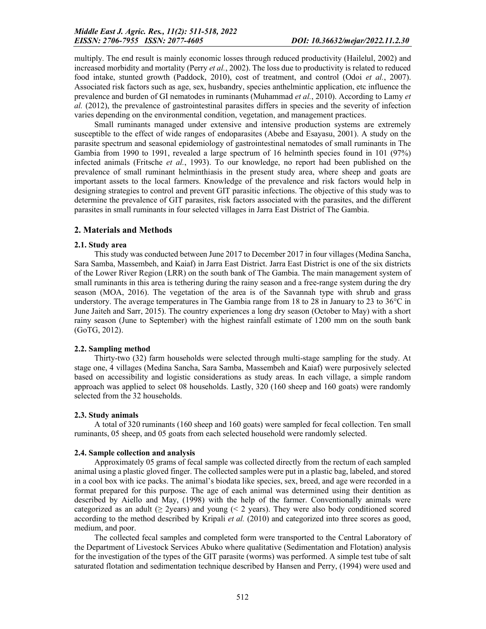multiply. The end result is mainly economic losses through reduced productivity (Hailelul, 2002) and increased morbidity and mortality (Perry *et al.*, 2002). The loss due to productivity is related to reduced food intake, stunted growth (Paddock, 2010), cost of treatment, and control (Odoi *et al.*, 2007). Associated risk factors such as age, sex, husbandry, species anthelmintic application, etc influence the prevalence and burden of GI nematodes in ruminants (Muhammad *et al.*, 2010). According to Lamy *et al.* (2012), the prevalence of gastrointestinal parasites differs in species and the severity of infection varies depending on the environmental condition, vegetation, and management practices.

Small ruminants managed under extensive and intensive production systems are extremely susceptible to the effect of wide ranges of endoparasites (Abebe and Esayasu, 2001). A study on the parasite spectrum and seasonal epidemiology of gastrointestinal nematodes of small ruminants in The Gambia from 1990 to 1991, revealed a large spectrum of 16 helminth species found in 101 (97%) infected animals (Fritsche *et al.*, 1993). To our knowledge, no report had been published on the prevalence of small ruminant helminthiasis in the present study area, where sheep and goats are important assets to the local farmers. Knowledge of the prevalence and risk factors would help in designing strategies to control and prevent GIT parasitic infections. The objective of this study was to determine the prevalence of GIT parasites, risk factors associated with the parasites, and the different parasites in small ruminants in four selected villages in Jarra East District of The Gambia.

# 2. Materials and Methods

#### 2.1. Study area

This study was conducted between June 2017 to December 2017 in four villages (Medina Sancha, Sara Samba, Massembeh, and Kaiaf) in Jarra East District. Jarra East District is one of the six districts of the Lower River Region (LRR) on the south bank of The Gambia. The main management system of small ruminants in this area is tethering during the rainy season and a free-range system during the dry season (MOA, 2016). The vegetation of the area is of the Savannah type with shrub and grass understory. The average temperatures in The Gambia range from 18 to 28 in January to 23 to 36°C in June Jaiteh and Sarr, 2015). The country experiences a long dry season (October to May) with a short rainy season (June to September) with the highest rainfall estimate of 1200 mm on the south bank (GoTG, 2012).

### 2.2. Sampling method

Thirty-two (32) farm households were selected through multi-stage sampling for the study. At stage one, 4 villages (Medina Sancha, Sara Samba, Massembeh and Kaiaf) were purposively selected based on accessibility and logistic considerations as study areas. In each village, a simple random approach was applied to select 08 households. Lastly, 320 (160 sheep and 160 goats) were randomly selected from the 32 households.

#### 2.3. Study animals

A total of 320 ruminants (160 sheep and 160 goats) were sampled for fecal collection. Ten small ruminants, 05 sheep, and 05 goats from each selected household were randomly selected.

#### 2.4. Sample collection and analysis

Approximately 05 grams of fecal sample was collected directly from the rectum of each sampled animal using a plastic gloved finger. The collected samples were put in a plastic bag, labeled, and stored in a cool box with ice packs. The animal's biodata like species, sex, breed, and age were recorded in a format prepared for this purpose. The age of each animal was determined using their dentition as described by Aiello and May, (1998) with the help of the farmer. Conventionally animals were categorized as an adult ( $\geq$  2years) and young (< 2 years). They were also body conditioned scored according to the method described by Kripali *et al.* (2010) and categorized into three scores as good, medium, and poor.

The collected fecal samples and completed form were transported to the Central Laboratory of the Department of Livestock Services Abuko where qualitative (Sedimentation and Flotation) analysis for the investigation of the types of the GIT parasite (worms) was performed. A simple test tube of salt saturated flotation and sedimentation technique described by Hansen and Perry, (1994) were used and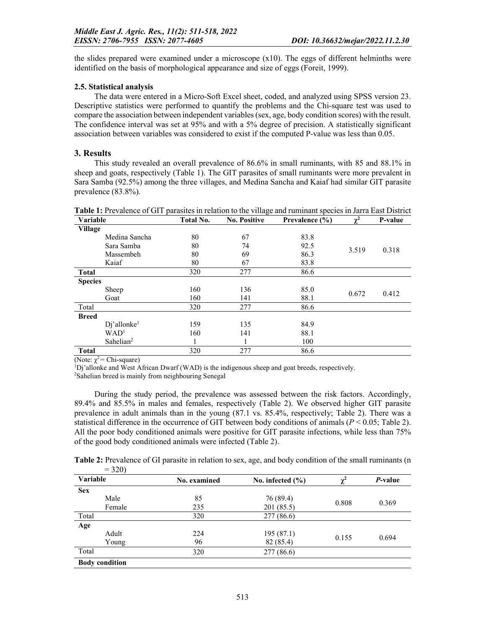the slides prepared were examined under a microscope (x10). The eggs of different helminths were identified on the basis of morphological appearance and size of eggs (Foreit, 1999).

# 2.5. Statistical analysis

The data were entered in a Micro-Soft Excel sheet, coded, and analyzed using SPSS version 23. Descriptive statistics were performed to quantify the problems and the Chi-square test was used to compare the association between independent variables (sex, age, body condition scores) with the result. The confidence interval was set at 95% and with a 5% degree of precision. A statistically significant association between variables was considered to exist if the computed P-value was less than 0.05.

# 3. Results

This study revealed an overall prevalence of 86.6% in small ruminants, with 85 and 88.1% in sheep and goats, respectively (Table 1). The GIT parasites of small ruminants were more prevalent in Sara Samba (92.5%) among the three villages, and Medina Sancha and Kaiaf had similar GIT parasite prevalence (83.8%).

| <b>Variable</b> |                            | <b>Total No.</b> | -0<br><b>No. Positive</b> | Prevalence (%) |       | P-value |
|-----------------|----------------------------|------------------|---------------------------|----------------|-------|---------|
| <b>Village</b>  |                            |                  |                           |                |       |         |
|                 | Medina Sancha              | 80               | 67                        | 83.8           |       |         |
|                 | Sara Samba                 | 80               | 74                        | 92.5           | 3.519 | 0.318   |
|                 | Massembeh                  | 80               | 69                        | 86.3           |       |         |
|                 | Kaiaf                      | 80               | 67                        | 83.8           |       |         |
| <b>Total</b>    |                            | 320              | 277                       | 86.6           |       |         |
| <b>Species</b>  |                            |                  |                           |                |       |         |
|                 | Sheep                      | 160              | 136                       | 85.0           | 0.672 | 0.412   |
|                 | Goat                       | 160              | 141                       | 88.1           |       |         |
| Total           |                            | 320              | 277                       | 86.6           |       |         |
| <b>Breed</b>    |                            |                  |                           |                |       |         |
|                 | $Dj'$ allonke <sup>1</sup> | 159              | 135                       | 84.9           |       |         |
|                 | WAD <sup>1</sup>           | 160              | 141                       | 88.1           |       |         |
|                 | Sahelian <sup>2</sup>      |                  |                           | 100            |       |         |
| <b>Total</b>    |                            | 320              | 277                       | 86.6           |       |         |

Table 1: Prevalence of GIT parasites in relation to the village and ruminant species in Jarra East District

(Note:  $\chi^2$  = Chi-square)

<sup>1</sup>Dj'allonke and West African Dwarf (WAD) is the indigenous sheep and goat breeds, respectively.

<sup>2</sup>Sahelian breed is mainly from neighbouring Senegal

During the study period, the prevalence was assessed between the risk factors. Accordingly, 89.4% and 85.5% in males and females, respectively (Table 2). We observed higher GIT parasite prevalence in adult animals than in the young (87.1 vs. 85.4%, respectively; Table 2). There was a statistical difference in the occurrence of GIT between body conditions of animals (*P* < 0.05; Table 2). All the poor body conditioned animals were positive for GIT parasite infections, while less than 75% of the good body conditioned animals were infected (Table 2).

| Table 2: Prevalence of GI parasite in relation to sex, age, and body condition of the small ruminants (n |  |  |
|----------------------------------------------------------------------------------------------------------|--|--|
| $= 320$                                                                                                  |  |  |

| J∠∪I                  |              |                      |          |                 |  |
|-----------------------|--------------|----------------------|----------|-----------------|--|
| Variable              | No. examined | No. infected $(\% )$ | $\chi^2$ | <i>P</i> -value |  |
| <b>Sex</b>            |              |                      |          |                 |  |
| Male                  | 85           | 76 (89.4)            |          |                 |  |
| Female                | 235          | 201 (85.5)           | 0.808    | 0.369           |  |
| Total                 | 320          | 277 (86.6)           |          |                 |  |
| Age                   |              |                      |          |                 |  |
| Adult                 | 224          | 195(87.1)            |          | 0.694           |  |
| Young                 | 96           | 82 (85.4)            | 0.155    |                 |  |
| Total                 | 320          | 277 (86.6)           |          |                 |  |
| <b>Body condition</b> |              |                      |          |                 |  |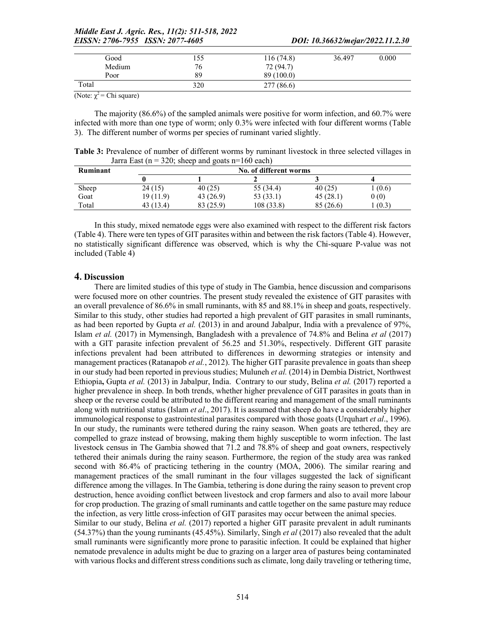| Good   | 155 | 116(74.8)  | 36.497 | 0.000 |
|--------|-----|------------|--------|-------|
| Medium | 76  | 72 (94.7)  |        |       |
| Poor   | 89  | 89 (100.0) |        |       |
| Total  | 320 | 277 (86.6) |        |       |

(Note:  $\chi^2$  = Chi square)

The majority (86.6%) of the sampled animals were positive for worm infection, and 60.7% were infected with more than one type of worm; only 0.3% were infected with four different worms (Table 3). The different number of worms per species of ruminant varied slightly.

Table 3: Prevalence of number of different worms by ruminant livestock in three selected villages in Jarra East ( $n = 320$ ; sheep and goats  $n=160$  each)

| Ruminant | No. of different worms |           |            |           |       |  |  |
|----------|------------------------|-----------|------------|-----------|-------|--|--|
|          |                        |           |            |           |       |  |  |
| Sheep    | 24(15)                 | 40(25)    | 55 (34.4)  | 40(25)    | (0.6) |  |  |
| Goat     | 19 (11.9)              | 43 (26.9) | 53 (33.1)  | 45(28.1)  | 0(0)  |  |  |
| Total    | 43 (13.4)              | 83 (25.9) | 108 (33.8) | 85 (26.6) | (0.3) |  |  |

In this study, mixed nematode eggs were also examined with respect to the different risk factors (Table 4). There were ten types of GIT parasites within and between the risk factors (Table 4). However, no statistically significant difference was observed, which is why the Chi-square P-value was not included (Table 4)

# 4. Discussion

There are limited studies of this type of study in The Gambia, hence discussion and comparisons were focused more on other countries. The present study revealed the existence of GIT parasites with an overall prevalence of 86.6% in small ruminants, with 85 and 88.1% in sheep and goats, respectively. Similar to this study, other studies had reported a high prevalent of GIT parasites in small ruminants, as had been reported by Gupta *et al.* (2013) in and around Jabalpur, India with a prevalence of 97%, Islam *et al.* (2017) in Mymensingh, Bangladesh with a prevalence of 74.8% and Belina *et al* (2017) with a GIT parasite infection prevalent of 56.25 and 51.30%, respectively. Different GIT parasite infections prevalent had been attributed to differences in deworming strategies or intensity and management practices (Ratanapob *et al.*, 2012). The higher GIT parasite prevalence in goats than sheep in our study had been reported in previous studies; Muluneh *et al.* (2014) in Dembia District, Northwest Ethiopia, Gupta *et al.* (2013) in Jabalpur, India. Contrary to our study, Belina *et al.* (2017) reported a higher prevalence in sheep. In both trends, whether higher prevalence of GIT parasites in goats than in sheep or the reverse could be attributed to the different rearing and management of the small ruminants along with nutritional status (Islam *et al*., 2017). It is assumed that sheep do have a considerably higher immunological response to gastrointestinal parasites compared with those goats (Urquhart *et al*., 1996). In our study, the ruminants were tethered during the rainy season. When goats are tethered, they are compelled to graze instead of browsing, making them highly susceptible to worm infection. The last livestock census in The Gambia showed that 71.2 and 78.8% of sheep and goat owners, respectively tethered their animals during the rainy season. Furthermore, the region of the study area was ranked second with 86.4% of practicing tethering in the country (MOA, 2006). The similar rearing and management practices of the small ruminant in the four villages suggested the lack of significant difference among the villages. In The Gambia, tethering is done during the rainy season to prevent crop destruction, hence avoiding conflict between livestock and crop farmers and also to avail more labour for crop production. The grazing of small ruminants and cattle together on the same pasture may reduce the infection, as very little cross-infection of GIT parasites may occur between the animal species. Similar to our study, Belina *et al.* (2017) reported a higher GIT parasite prevalent in adult ruminants (54.37%) than the young ruminants (45.45%). Similarly, Singh *et al* (2017) also revealed that the adult

small ruminants were significantly more prone to parasitic infection. It could be explained that higher nematode prevalence in adults might be due to grazing on a larger area of pastures being contaminated with various flocks and different stress conditions such as climate, long daily traveling or tethering time,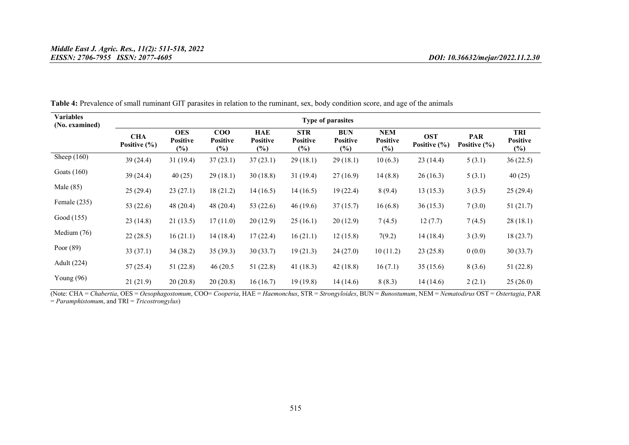| <b>Variables</b><br>(No. examined) | Type of parasites              |                                         |                                        |                                  |                                         |                                         |                                  |                            |                                |                                  |
|------------------------------------|--------------------------------|-----------------------------------------|----------------------------------------|----------------------------------|-----------------------------------------|-----------------------------------------|----------------------------------|----------------------------|--------------------------------|----------------------------------|
|                                    | <b>CHA</b><br>Positive $(\% )$ | <b>OES</b><br><b>Positive</b><br>$(\%)$ | $_{\rm COO}$<br><b>Positive</b><br>(%) | HAE<br><b>Positive</b><br>$(\%)$ | <b>STR</b><br><b>Positive</b><br>$(\%)$ | <b>BUN</b><br><b>Positive</b><br>$(\%)$ | NEM<br><b>Positive</b><br>$(\%)$ | <b>OST</b><br>Positive (%) | <b>PAR</b><br>Positive $(\% )$ | TRI<br><b>Positive</b><br>$(\%)$ |
| Sheep $(160)$                      | 39 (24.4)                      | 31(19.4)                                | 37(23.1)                               | 37(23.1)                         | 29(18.1)                                | 29(18.1)                                | 10(6.3)                          | 23(14.4)                   | 5(3.1)                         | 36(22.5)                         |
| Goats $(160)$                      | 39(24.4)                       | 40(25)                                  | 29(18.1)                               | 30(18.8)                         | 31(19.4)                                | 27(16.9)                                | 14(8.8)                          | 26(16.3)                   | 5(3.1)                         | 40(25)                           |
| Male $(85)$                        | 25(29.4)                       | 23(27.1)                                | 18(21.2)                               | 14(16.5)                         | 14(16.5)                                | 19(22.4)                                | 8(9.4)                           | 13(15.3)                   | 3(3.5)                         | 25(29.4)                         |
| Female $(235)$                     | 53 $(22.6)$                    | 48(20.4)                                | 48 (20.4)                              | 53(22.6)                         | 46(19.6)                                | 37(15.7)                                | 16(6.8)                          | 36(15.3)                   | 7(3.0)                         | 51(21.7)                         |
| Good (155)                         | 23(14.8)                       | 21(13.5)                                | 17(11.0)                               | 20(12.9)                         | 25(16.1)                                | 20(12.9)                                | 7(4.5)                           | 12(7.7)                    | 7(4.5)                         | 28(18.1)                         |
| Medium $(76)$                      | 22(28.5)                       | 16(21.1)                                | 14(18.4)                               | 17(22.4)                         | 16(21.1)                                | 12(15.8)                                | 7(9.2)                           | 14(18.4)                   | 3(3.9)                         | 18(23.7)                         |
| Poor $(89)$                        | 33(37.1)                       | 34(38.2)                                | 35(39.3)                               | 30(33.7)                         | 19(21.3)                                | 24(27.0)                                | 10(11.2)                         | 23(25.8)                   | 0(0.0)                         | 30(33.7)                         |
| Adult (224)                        | 57(25.4)                       | 51(22.8)                                | 46 (20.5)                              | 51(22.8)                         | 41 $(18.3)$                             | 42(18.8)                                | 16(7.1)                          | 35(15.6)                   | 8(3.6)                         | 51(22.8)                         |
| Young $(96)$                       | 21(21.9)                       | 20(20.8)                                | 20(20.8)                               | 16(16.7)                         | 19(19.8)                                | 14(14.6)                                | 8(8.3)                           | 14(14.6)                   | 2(2.1)                         | 25(26.0)                         |

Table 4: Prevalence of small ruminant GIT parasites in relation to the ruminant, sex, body condition score, and age of the animals

(Note: CHA = *Chabertia*, OES = *Oesophagostomum*, COO= *Cooperia*, HAE = *Haemonchus*, STR = *Strongyloides*, BUN = *Bunostumum*, NEM = *Nematodirus* OST = *Ostertagia*, PAR = *Paramphistomum*, and TRI = *Tricostrongylus*)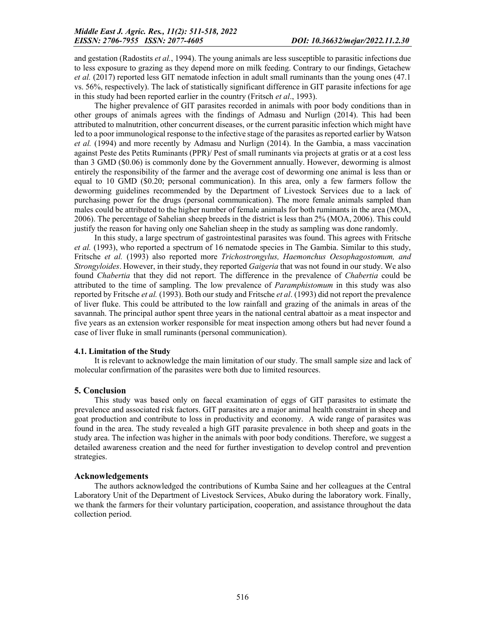and gestation (Radostits *et al.*, 1994). The young animals are less susceptible to parasitic infections due to less exposure to grazing as they depend more on milk feeding. Contrary to our findings, Getachew *et al.* (2017) reported less GIT nematode infection in adult small ruminants than the young ones (47.1 vs. 56%, respectively). The lack of statistically significant difference in GIT parasite infections for age in this study had been reported earlier in the country (Fritsch *et al*., 1993).

The higher prevalence of GIT parasites recorded in animals with poor body conditions than in other groups of animals agrees with the findings of Admasu and Nurlign (2014). This had been attributed to malnutrition, other concurrent diseases, or the current parasitic infection which might have led to a poor immunological response to the infective stage of the parasites as reported earlier by Watson *et al.* (1994) and more recently by Admasu and Nurlign (2014). In the Gambia, a mass vaccination against Peste des Petits Ruminants (PPR)/ Pest of small ruminants via projects at gratis or at a cost less than 3 GMD (\$0.06) is commonly done by the Government annually. However, deworming is almost entirely the responsibility of the farmer and the average cost of deworming one animal is less than or equal to 10 GMD (\$0.20; personal communication). In this area, only a few farmers follow the deworming guidelines recommended by the Department of Livestock Services due to a lack of purchasing power for the drugs (personal communication). The more female animals sampled than males could be attributed to the higher number of female animals for both ruminants in the area (MOA, 2006). The percentage of Sahelian sheep breeds in the district is less than 2% (MOA, 2006). This could justify the reason for having only one Sahelian sheep in the study as sampling was done randomly.

In this study, a large spectrum of gastrointestinal parasites was found. This agrees with Fritsche *et al.* (1993), who reported a spectrum of 16 nematode species in The Gambia. Similar to this study, Fritsche *et al.* (1993) also reported more *Trichostrongylus, Haemonchus Oesophagostomum, and Strongyloides*. However, in their study, they reported *Gaigeria* that was not found in our study. We also found *Chabertia* that they did not report. The difference in the prevalence of *Chabertia* could be attributed to the time of sampling. The low prevalence of *Paramphistomum* in this study was also reported by Fritsche *et al.* (1993). Both our study and Fritsche *et al*. (1993) did not report the prevalence of liver fluke. This could be attributed to the low rainfall and grazing of the animals in areas of the savannah. The principal author spent three years in the national central abattoir as a meat inspector and five years as an extension worker responsible for meat inspection among others but had never found a case of liver fluke in small ruminants (personal communication).

# 4.1. Limitation of the Study

It is relevant to acknowledge the main limitation of our study. The small sample size and lack of molecular confirmation of the parasites were both due to limited resources.

#### 5. Conclusion

This study was based only on faecal examination of eggs of GIT parasites to estimate the prevalence and associated risk factors. GIT parasites are a major animal health constraint in sheep and goat production and contribute to loss in productivity and economy. A wide range of parasites was found in the area. The study revealed a high GIT parasite prevalence in both sheep and goats in the study area. The infection was higher in the animals with poor body conditions. Therefore, we suggest a detailed awareness creation and the need for further investigation to develop control and prevention strategies.

#### Acknowledgements

The authors acknowledged the contributions of Kumba Saine and her colleagues at the Central Laboratory Unit of the Department of Livestock Services, Abuko during the laboratory work. Finally, we thank the farmers for their voluntary participation, cooperation, and assistance throughout the data collection period.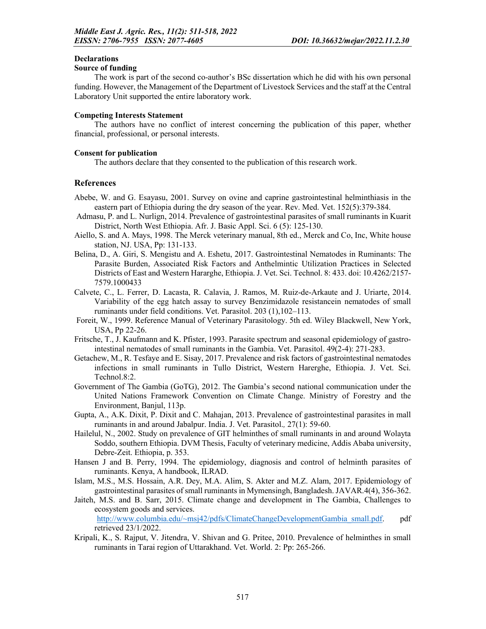### **Declarations**

### Source of funding

The work is part of the second co-author's BSc dissertation which he did with his own personal funding. However, the Management of the Department of Livestock Services and the staff at the Central Laboratory Unit supported the entire laboratory work.

### Competing Interests Statement

The authors have no conflict of interest concerning the publication of this paper, whether financial, professional, or personal interests.

### Consent for publication

The authors declare that they consented to the publication of this research work.

# References

- Abebe, W. and G. Esayasu, 2001. Survey on ovine and caprine gastrointestinal helminthiasis in the eastern part of Ethiopia during the dry season of the year. Rev. Med. Vet. 152(5):379-384.
- Admasu, P. and L. Nurlign, 2014. Prevalence of gastrointestinal parasites of small ruminants in Kuarit District, North West Ethiopia. Afr. J. Basic Appl. Sci. 6 (5): 125-130.
- Aiello, S. and A. Mays, 1998. The Merck veterinary manual, 8th ed., Merck and Co, Inc, White house station, NJ. USA, Pp: 131-133.
- Belina, D., A. Giri, S. Mengistu and A. Eshetu, 2017. Gastrointestinal Nematodes in Ruminants: The Parasite Burden, Associated Risk Factors and Anthelmintic Utilization Practices in Selected Districts of East and Western Hararghe, Ethiopia. J. Vet. Sci. Technol. 8: 433. doi: 10.4262/2157- 7579.1000433
- Calvete, C., L. Ferrer, D. Lacasta, R. Calavia, J. Ramos, M. Ruiz-de-Arkaute and J. Uriarte, 2014. Variability of the egg hatch assay to survey Benzimidazole resistancein nematodes of small ruminants under field conditions. Vet. Parasitol. 203 (1),102–113.
- Foreit, W., 1999. Reference Manual of Veterinary Parasitology. 5th ed. Wiley Blackwell, New York, USA, Pp 22-26.
- Fritsche, T., J. Kaufmann and K. Pfister, 1993. Parasite spectrum and seasonal epidemiology of gastrointestinal nematodes of small ruminants in the Gambia. Vet. Parasitol. 49(2-4): 271-283.
- Getachew, M., R. Tesfaye and E. Sisay, 2017. Prevalence and risk factors of gastrointestinal nematodes infections in small ruminants in Tullo District, Western Harerghe, Ethiopia. J. Vet. Sci. Technol.8:2.
- Government of The Gambia (GoTG), 2012. The Gambia's second national communication under the United Nations Framework Convention on Climate Change. Ministry of Forestry and the Environment, Banjul, 113p.
- Gupta, A., A.K. Dixit, P. Dixit and C. Mahajan, 2013. Prevalence of gastrointestinal parasites in mall ruminants in and around Jabalpur. India. J. Vet. Parasitol.*,* 27(1): 59-60.
- Hailelul, N., 2002. Study on prevalence of GIT helminthes of small ruminants in and around Wolayta Soddo, southern Ethiopia. DVM Thesis, Faculty of veterinary medicine, Addis Ababa university, Debre-Zeit. Ethiopia, p. 353.
- Hansen J and B. Perry, 1994. The epidemiology, diagnosis and control of helminth parasites of ruminants. Kenya, A handbook, ILRAD.
- Islam, M.S., M.S. Hossain, A.R. Dey, M.A. Alim, S. Akter and M.Z. Alam, 2017. Epidemiology of gastrointestinal parasites of small ruminants in Mymensingh, Bangladesh. JAVAR.4(4), 356-362.
- Jaiteh, M.S. and B. Sarr, 2015. Climate change and development in The Gambia, Challenges to ecosystem goods and services. http://www.columbia.edu/~msj42/pdfs/ClimateChangeDevelopmentGambia\_small.pdf. pdf retrieved 23/1/2022.
- Kripali, K., S. Rajput, V. Jitendra, V. Shivan and G. Pritee, 2010. Prevalence of helminthes in small ruminants in Tarai region of Uttarakhand. Vet. World. 2: Pp: 265-266.